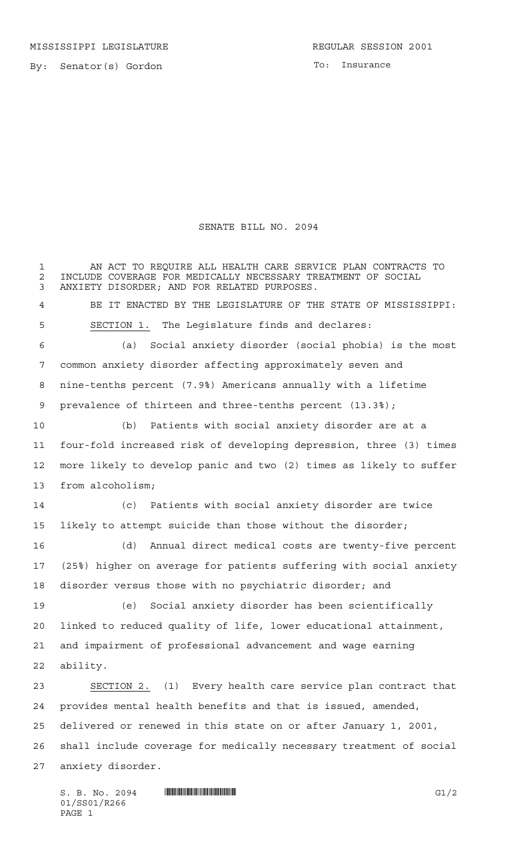MISSISSIPPI LEGISLATURE **REGULAR SESSION 2001** 

By: Senator(s) Gordon

To: Insurance

## SENATE BILL NO. 2094

 AN ACT TO REQUIRE ALL HEALTH CARE SERVICE PLAN CONTRACTS TO 2 INCLUDE COVERAGE FOR MEDICALLY NECESSARY TREATMENT OF SOCIAL<br>3 ANXIETY DISORDER: AND FOR RELATED PURPOSES. ANXIETY DISORDER; AND FOR RELATED PURPOSES. BE IT ENACTED BY THE LEGISLATURE OF THE STATE OF MISSISSIPPI: SECTION 1. The Legislature finds and declares: (a) Social anxiety disorder (social phobia) is the most common anxiety disorder affecting approximately seven and nine-tenths percent (7.9%) Americans annually with a lifetime prevalence of thirteen and three-tenths percent (13.3%); (b) Patients with social anxiety disorder are at a four-fold increased risk of developing depression, three (3) times more likely to develop panic and two (2) times as likely to suffer from alcoholism; (c) Patients with social anxiety disorder are twice likely to attempt suicide than those without the disorder; (d) Annual direct medical costs are twenty-five percent (25%) higher on average for patients suffering with social anxiety disorder versus those with no psychiatric disorder; and (e) Social anxiety disorder has been scientifically linked to reduced quality of life, lower educational attainment, and impairment of professional advancement and wage earning ability. SECTION 2. (1) Every health care service plan contract that provides mental health benefits and that is issued, amended, delivered or renewed in this state on or after January 1, 2001, shall include coverage for medically necessary treatment of social anxiety disorder.

 $S. B. No. 2094$  . THE SET ON SET OF SET OF SET OF SET OF SET OF SET OF SET OF SET OF SET OF SET OF SET OF SET OF SET OF SET OF SET OF SET OF SET OF SET OF SET OF SET OF SET OF SET OF SET OF SET OF SET OF SET OF SET OF SET O 01/SS01/R266 PAGE 1